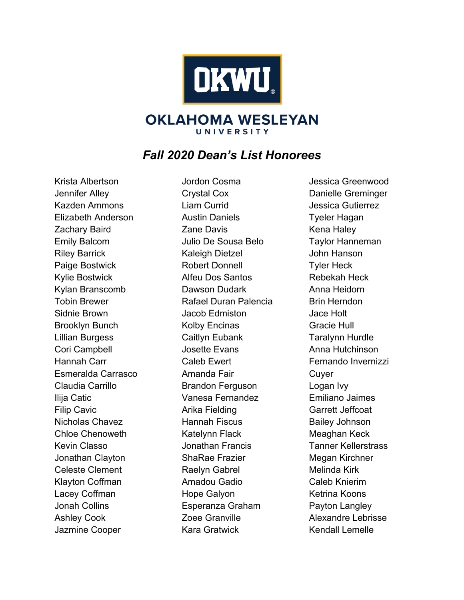

## **OKLAHOMA WESLEYAN** UNIVERSITY

## *Fall 2020 Dean's List Honorees*

Krista Albertson Jennifer Alley Kazden Ammons Elizabeth Anderson Zachary Baird Emily Balcom Riley Barrick Paige Bostwick Kylie Bostwick Kylan Branscomb Tobin Brewer Sidnie Brown Brooklyn Bunch Lillian Burgess Cori Campbell Hannah Carr Esmeralda Carrasco Claudia Carrillo Ilija Catic Filip Cavic Nicholas Chavez Chloe Chenoweth Kevin Classo Jonathan Clayton Celeste Clement Klayton Coffman Lacey Coffman Jonah Collins Ashley Cook Jazmine Cooper

Jordon Cosma Crystal Cox Liam Currid Austin Daniels Zane Davis Julio De Sousa Belo Kaleigh Dietzel Robert Donnell Alfeu Dos Santos Dawson Dudark Rafael Duran Palencia Jacob Edmiston Kolby Encinas Caitlyn Eubank Josette Evans Caleb Ewert Amanda Fair Brandon Ferguson Vanesa Fernandez Arika Fielding Hannah Fiscus Katelynn Flack Jonathan Francis ShaRae Frazier Raelyn Gabrel Amadou Gadio Hope Galyon Esperanza Graham Zoee Granville Kara Gratwick

Jessica Greenwood Danielle Greminger Jessica Gutierrez Tyeler Hagan Kena Haley Taylor Hanneman John Hanson Tyler Heck Rebekah Heck Anna Heidorn Brin Herndon Jace Holt Gracie Hull Taralynn Hurdle Anna Hutchinson Fernando Invernizzi **Cuver** Logan Ivy Emiliano Jaimes Garrett Jeffcoat Bailey Johnson Meaghan Keck Tanner Kellerstrass Megan Kirchner Melinda Kirk Caleb Knierim Ketrina Koons Payton Langley Alexandre Lebrisse Kendall Lemelle